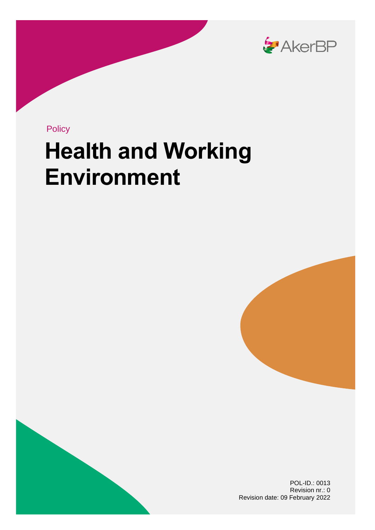

**Policy** 

# **Health and Working Environment**





POL-ID.: 0013 Revision nr.: 0 Revision date: 09 February 2022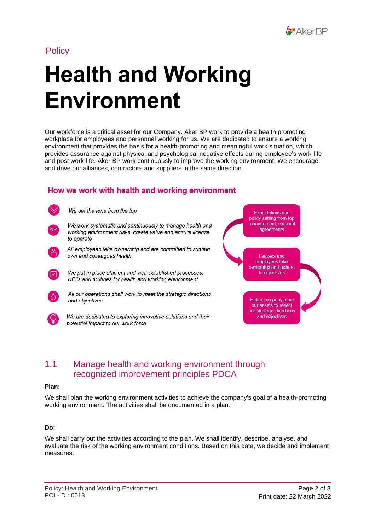

## **Policy**

# **Health and Working Environment**

Our workforce is a critical asset for our Company. Aker BP work to provide a health promoting workplace for employees and personnel working for us. We are dedicated to ensure a working environment that provides the basis for a health-promoting and meaningful work situation, which provides assurance against physical and psychological negative effects during employee's work-life and post work-life. Aker BP work continuously to improve the working environment. We encourage and drive our alliances, contractors and suppliers in the same direction.

## How we work with health and working environment



We set the tone from the top



We work systematic and continuously to manage health and working environment risks, create value and ensure license to operate



All employees take ownership and are committed to sustain own and colleagues health



We put in place efficient and well-established processes, KPI's and routines for health and working environment



All our operations shall work to meet the strategic directions and objectives



We are dedicated to exploring innovative solutions and their potential impact to our work force

**Expectations and** policy setting from top management, external *agreements* **Leaders and** employees take ownership and adhere to objectives Entire company at all our assets to reflect our strategic directions

and objectives

### 1.1 Manage health and working environment through recognized improvement principles PDCA

#### **Plan:**

We shall plan the working environment activities to achieve the company's goal of a health-promoting working environment. The activities shall be documented in a plan.

#### **Do:**

We shall carry out the activities according to the plan. We shall identify, describe, analyse, and evaluate the risk of the working environment conditions. Based on this data, we decide and implement measures.